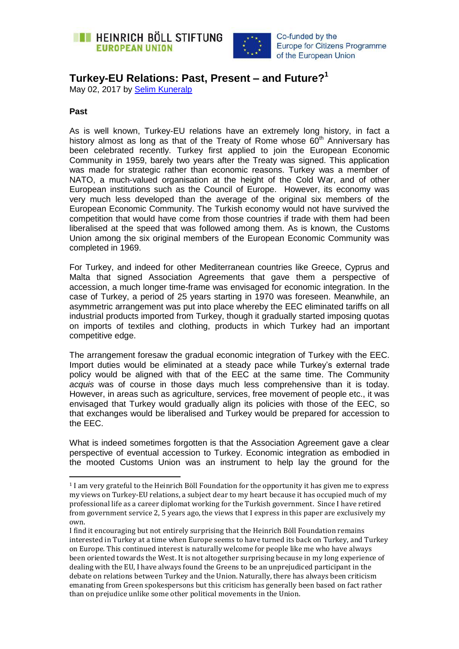



Co-funded by the **Europe for Citizens Programme** of the European Union

## **Turkey-EU Relations: Past, Present – and Future?<sup>1</sup>**

May 02, 2017 by [Selim Kuneralp](https://eu.boell.org/en/person/selim-kuneralp) 

## **Past**

 $\overline{a}$ 

As is well known, Turkey-EU relations have an extremely long history, in fact a history almost as long as that of the Treaty of Rome whose  $60<sup>th</sup>$  Anniversary has been celebrated recently. Turkey first applied to join the European Economic Community in 1959, barely two years after the Treaty was signed. This application was made for strategic rather than economic reasons. Turkey was a member of NATO, a much-valued organisation at the height of the Cold War, and of other European institutions such as the Council of Europe. However, its economy was very much less developed than the average of the original six members of the European Economic Community. The Turkish economy would not have survived the competition that would have come from those countries if trade with them had been liberalised at the speed that was followed among them. As is known, the Customs Union among the six original members of the European Economic Community was completed in 1969.

For Turkey, and indeed for other Mediterranean countries like Greece, Cyprus and Malta that signed Association Agreements that gave them a perspective of accession, a much longer time-frame was envisaged for economic integration. In the case of Turkey, a period of 25 years starting in 1970 was foreseen. Meanwhile, an asymmetric arrangement was put into place whereby the EEC eliminated tariffs on all industrial products imported from Turkey, though it gradually started imposing quotas on imports of textiles and clothing, products in which Turkey had an important competitive edge.

The arrangement foresaw the gradual economic integration of Turkey with the EEC. Import duties would be eliminated at a steady pace while Turkey's external trade policy would be aligned with that of the EEC at the same time. The Community *acquis* was of course in those days much less comprehensive than it is today. However, in areas such as agriculture, services, free movement of people etc., it was envisaged that Turkey would gradually align its policies with those of the EEC, so that exchanges would be liberalised and Turkey would be prepared for accession to the EEC.

What is indeed sometimes forgotten is that the Association Agreement gave a clear perspective of eventual accession to Turkey. Economic integration as embodied in the mooted Customs Union was an instrument to help lay the ground for the

<sup>1</sup> I am very grateful to the Heinrich Böll Foundation for the opportunity it has given me to express my views on Turkey-EU relations, a subject dear to my heart because it has occupied much of my professional life as a career diplomat working for the Turkish government. Since I have retired from government service 2, 5 years ago, the views that I express in this paper are exclusively my own.

I find it encouraging but not entirely surprising that the Heinrich Böll Foundation remains interested in Turkey at a time when Europe seems to have turned its back on Turkey, and Turkey on Europe. This continued interest is naturally welcome for people like me who have always been oriented towards the West. It is not altogether surprising because in my long experience of dealing with the EU, I have always found the Greens to be an unprejudiced participant in the debate on relations between Turkey and the Union. Naturally, there has always been criticism emanating from Green spokespersons but this criticism has generally been based on fact rather than on prejudice unlike some other political movements in the Union.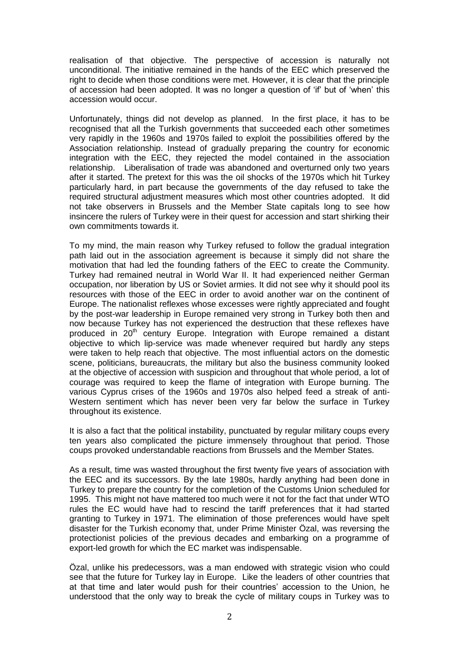realisation of that objective. The perspective of accession is naturally not unconditional. The initiative remained in the hands of the EEC which preserved the right to decide when those conditions were met. However, it is clear that the principle of accession had been adopted. It was no longer a question of 'if' but of 'when' this accession would occur.

Unfortunately, things did not develop as planned. In the first place, it has to be recognised that all the Turkish governments that succeeded each other sometimes very rapidly in the 1960s and 1970s failed to exploit the possibilities offered by the Association relationship. Instead of gradually preparing the country for economic integration with the EEC, they rejected the model contained in the association relationship. Liberalisation of trade was abandoned and overturned only two years after it started. The pretext for this was the oil shocks of the 1970s which hit Turkey particularly hard, in part because the governments of the day refused to take the required structural adjustment measures which most other countries adopted. It did not take observers in Brussels and the Member State capitals long to see how insincere the rulers of Turkey were in their quest for accession and start shirking their own commitments towards it.

To my mind, the main reason why Turkey refused to follow the gradual integration path laid out in the association agreement is because it simply did not share the motivation that had led the founding fathers of the EEC to create the Community. Turkey had remained neutral in World War II. It had experienced neither German occupation, nor liberation by US or Soviet armies. It did not see why it should pool its resources with those of the EEC in order to avoid another war on the continent of Europe. The nationalist reflexes whose excesses were rightly appreciated and fought by the post-war leadership in Europe remained very strong in Turkey both then and now because Turkey has not experienced the destruction that these reflexes have produced in 20<sup>th</sup> century Europe. Integration with Europe remained a distant objective to which lip-service was made whenever required but hardly any steps were taken to help reach that objective. The most influential actors on the domestic scene, politicians, bureaucrats, the military but also the business community looked at the objective of accession with suspicion and throughout that whole period, a lot of courage was required to keep the flame of integration with Europe burning. The various Cyprus crises of the 1960s and 1970s also helped feed a streak of anti-Western sentiment which has never been very far below the surface in Turkey throughout its existence.

It is also a fact that the political instability, punctuated by regular military coups every ten years also complicated the picture immensely throughout that period. Those coups provoked understandable reactions from Brussels and the Member States.

As a result, time was wasted throughout the first twenty five years of association with the EEC and its successors. By the late 1980s, hardly anything had been done in Turkey to prepare the country for the completion of the Customs Union scheduled for 1995. This might not have mattered too much were it not for the fact that under WTO rules the EC would have had to rescind the tariff preferences that it had started granting to Turkey in 1971. The elimination of those preferences would have spelt disaster for the Turkish economy that, under Prime Minister Özal, was reversing the protectionist policies of the previous decades and embarking on a programme of export-led growth for which the EC market was indispensable.

Özal, unlike his predecessors, was a man endowed with strategic vision who could see that the future for Turkey lay in Europe. Like the leaders of other countries that at that time and later would push for their countries' accession to the Union, he understood that the only way to break the cycle of military coups in Turkey was to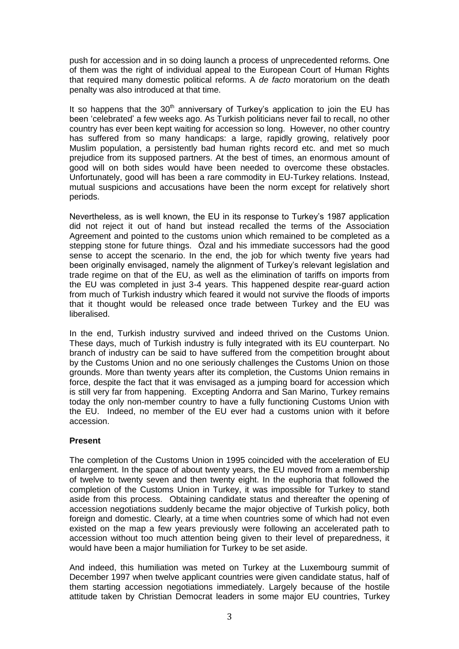push for accession and in so doing launch a process of unprecedented reforms. One of them was the right of individual appeal to the European Court of Human Rights that required many domestic political reforms. A *de facto* moratorium on the death penalty was also introduced at that time.

It so happens that the  $30<sup>th</sup>$  anniversary of Turkey's application to join the EU has been 'celebrated' a few weeks ago. As Turkish politicians never fail to recall, no other country has ever been kept waiting for accession so long. However, no other country has suffered from so many handicaps: a large, rapidly growing, relatively poor Muslim population, a persistently bad human rights record etc. and met so much prejudice from its supposed partners. At the best of times, an enormous amount of good will on both sides would have been needed to overcome these obstacles. Unfortunately, good will has been a rare commodity in EU-Turkey relations. Instead, mutual suspicions and accusations have been the norm except for relatively short periods.

Nevertheless, as is well known, the EU in its response to Turkey's 1987 application did not reject it out of hand but instead recalled the terms of the Association Agreement and pointed to the customs union which remained to be completed as a stepping stone for future things. Özal and his immediate successors had the good sense to accept the scenario. In the end, the job for which twenty five years had been originally envisaged, namely the alignment of Turkey's relevant legislation and trade regime on that of the EU, as well as the elimination of tariffs on imports from the EU was completed in just 3-4 years. This happened despite rear-guard action from much of Turkish industry which feared it would not survive the floods of imports that it thought would be released once trade between Turkey and the EU was liberalised.

In the end, Turkish industry survived and indeed thrived on the Customs Union. These days, much of Turkish industry is fully integrated with its EU counterpart. No branch of industry can be said to have suffered from the competition brought about by the Customs Union and no one seriously challenges the Customs Union on those grounds. More than twenty years after its completion, the Customs Union remains in force, despite the fact that it was envisaged as a jumping board for accession which is still very far from happening. Excepting Andorra and San Marino, Turkey remains today the only non-member country to have a fully functioning Customs Union with the EU. Indeed, no member of the EU ever had a customs union with it before accession.

## **Present**

The completion of the Customs Union in 1995 coincided with the acceleration of EU enlargement. In the space of about twenty years, the EU moved from a membership of twelve to twenty seven and then twenty eight. In the euphoria that followed the completion of the Customs Union in Turkey, it was impossible for Turkey to stand aside from this process. Obtaining candidate status and thereafter the opening of accession negotiations suddenly became the major objective of Turkish policy, both foreign and domestic. Clearly, at a time when countries some of which had not even existed on the map a few years previously were following an accelerated path to accession without too much attention being given to their level of preparedness, it would have been a major humiliation for Turkey to be set aside.

And indeed, this humiliation was meted on Turkey at the Luxembourg summit of December 1997 when twelve applicant countries were given candidate status, half of them starting accession negotiations immediately. Largely because of the hostile attitude taken by Christian Democrat leaders in some major EU countries, Turkey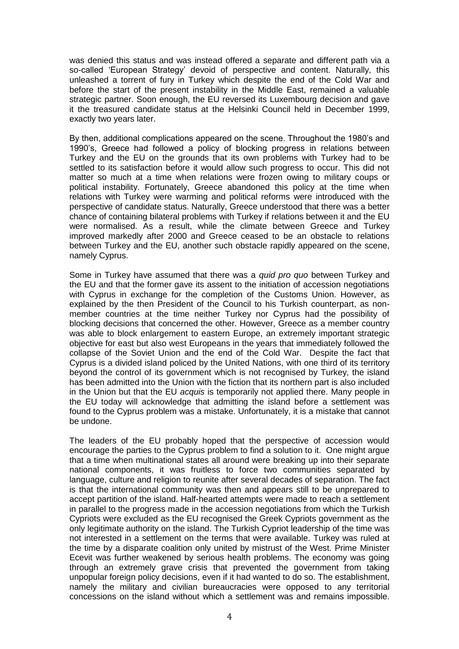was denied this status and was instead offered a separate and different path via a so-called 'European Strategy' devoid of perspective and content. Naturally, this unleashed a torrent of fury in Turkey which despite the end of the Cold War and before the start of the present instability in the Middle East, remained a valuable strategic partner. Soon enough, the EU reversed its Luxembourg decision and gave it the treasured candidate status at the Helsinki Council held in December 1999, exactly two years later.

By then, additional complications appeared on the scene. Throughout the 1980's and 1990's, Greece had followed a policy of blocking progress in relations between Turkey and the EU on the grounds that its own problems with Turkey had to be settled to its satisfaction before it would allow such progress to occur. This did not matter so much at a time when relations were frozen owing to military coups or political instability. Fortunately, Greece abandoned this policy at the time when relations with Turkey were warming and political reforms were introduced with the perspective of candidate status. Naturally, Greece understood that there was a better chance of containing bilateral problems with Turkey if relations between it and the EU were normalised. As a result, while the climate between Greece and Turkey improved markedly after 2000 and Greece ceased to be an obstacle to relations between Turkey and the EU, another such obstacle rapidly appeared on the scene, namely Cyprus.

Some in Turkey have assumed that there was a *quid pro quo* between Turkey and the EU and that the former gave its assent to the initiation of accession negotiations with Cyprus in exchange for the completion of the Customs Union. However, as explained by the then President of the Council to his Turkish counterpart, as nonmember countries at the time neither Turkey nor Cyprus had the possibility of blocking decisions that concerned the other. However, Greece as a member country was able to block enlargement to eastern Europe, an extremely important strategic objective for east but also west Europeans in the years that immediately followed the collapse of the Soviet Union and the end of the Cold War. Despite the fact that Cyprus is a divided island policed by the United Nations, with one third of its territory beyond the control of its government which is not recognised by Turkey, the island has been admitted into the Union with the fiction that its northern part is also included in the Union but that the EU *acquis* is temporarily not applied there. Many people in the EU today will acknowledge that admitting the island before a settlement was found to the Cyprus problem was a mistake. Unfortunately, it is a mistake that cannot be undone.

The leaders of the EU probably hoped that the perspective of accession would encourage the parties to the Cyprus problem to find a solution to it. One might argue that a time when multinational states all around were breaking up into their separate national components, it was fruitless to force two communities separated by language, culture and religion to reunite after several decades of separation. The fact is that the international community was then and appears still to be unprepared to accept partition of the island. Half-hearted attempts were made to reach a settlement in parallel to the progress made in the accession negotiations from which the Turkish Cypriots were excluded as the EU recognised the Greek Cypriots government as the only legitimate authority on the island. The Turkish Cypriot leadership of the time was not interested in a settlement on the terms that were available. Turkey was ruled at the time by a disparate coalition only united by mistrust of the West. Prime Minister Ecevit was further weakened by serious health problems. The economy was going through an extremely grave crisis that prevented the government from taking unpopular foreign policy decisions, even if it had wanted to do so. The establishment, namely the military and civilian bureaucracies were opposed to any territorial concessions on the island without which a settlement was and remains impossible.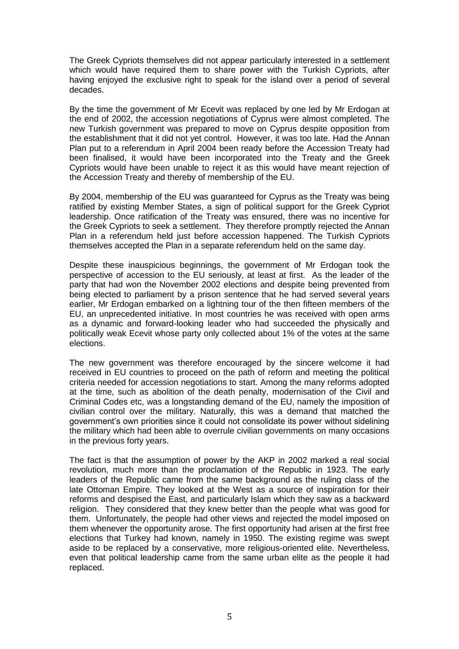The Greek Cypriots themselves did not appear particularly interested in a settlement which would have required them to share power with the Turkish Cypriots, after having enjoyed the exclusive right to speak for the island over a period of several decades.

By the time the government of Mr Ecevit was replaced by one led by Mr Erdogan at the end of 2002, the accession negotiations of Cyprus were almost completed. The new Turkish government was prepared to move on Cyprus despite opposition from the establishment that it did not yet control. However, it was too late. Had the Annan Plan put to a referendum in April 2004 been ready before the Accession Treaty had been finalised, it would have been incorporated into the Treaty and the Greek Cypriots would have been unable to reject it as this would have meant rejection of the Accession Treaty and thereby of membership of the EU.

By 2004, membership of the EU was guaranteed for Cyprus as the Treaty was being ratified by existing Member States, a sign of political support for the Greek Cypriot leadership. Once ratification of the Treaty was ensured, there was no incentive for the Greek Cypriots to seek a settlement. They therefore promptly rejected the Annan Plan in a referendum held just before accession happened. The Turkish Cypriots themselves accepted the Plan in a separate referendum held on the same day.

Despite these inauspicious beginnings, the government of Mr Erdogan took the perspective of accession to the EU seriously, at least at first. As the leader of the party that had won the November 2002 elections and despite being prevented from being elected to parliament by a prison sentence that he had served several years earlier, Mr Erdogan embarked on a lightning tour of the then fifteen members of the EU, an unprecedented initiative. In most countries he was received with open arms as a dynamic and forward-looking leader who had succeeded the physically and politically weak Ecevit whose party only collected about 1% of the votes at the same elections.

The new government was therefore encouraged by the sincere welcome it had received in EU countries to proceed on the path of reform and meeting the political criteria needed for accession negotiations to start. Among the many reforms adopted at the time, such as abolition of the death penalty, modernisation of the Civil and Criminal Codes etc, was a longstanding demand of the EU, namely the imposition of civilian control over the military. Naturally, this was a demand that matched the government's own priorities since it could not consolidate its power without sidelining the military which had been able to overrule civilian governments on many occasions in the previous forty years.

The fact is that the assumption of power by the AKP in 2002 marked a real social revolution, much more than the proclamation of the Republic in 1923. The early leaders of the Republic came from the same background as the ruling class of the late Ottoman Empire. They looked at the West as a source of inspiration for their reforms and despised the East, and particularly Islam which they saw as a backward religion. They considered that they knew better than the people what was good for them. Unfortunately, the people had other views and rejected the model imposed on them whenever the opportunity arose. The first opportunity had arisen at the first free elections that Turkey had known, namely in 1950. The existing regime was swept aside to be replaced by a conservative, more religious-oriented elite. Nevertheless, even that political leadership came from the same urban elite as the people it had replaced.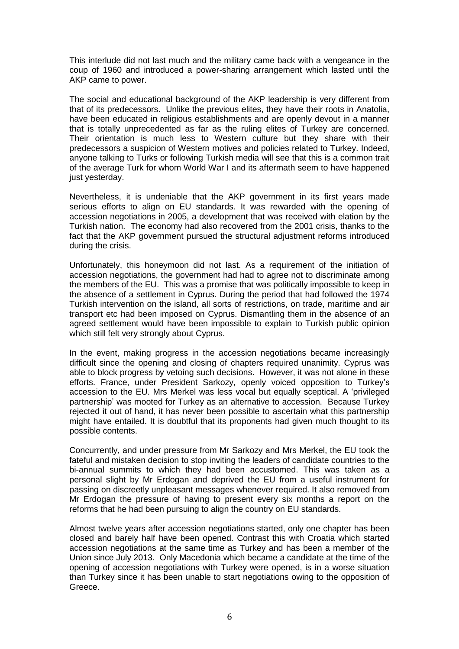This interlude did not last much and the military came back with a vengeance in the coup of 1960 and introduced a power-sharing arrangement which lasted until the AKP came to power.

The social and educational background of the AKP leadership is very different from that of its predecessors. Unlike the previous elites, they have their roots in Anatolia, have been educated in religious establishments and are openly devout in a manner that is totally unprecedented as far as the ruling elites of Turkey are concerned. Their orientation is much less to Western culture but they share with their predecessors a suspicion of Western motives and policies related to Turkey. Indeed, anyone talking to Turks or following Turkish media will see that this is a common trait of the average Turk for whom World War I and its aftermath seem to have happened just yesterday.

Nevertheless, it is undeniable that the AKP government in its first years made serious efforts to align on EU standards. It was rewarded with the opening of accession negotiations in 2005, a development that was received with elation by the Turkish nation. The economy had also recovered from the 2001 crisis, thanks to the fact that the AKP government pursued the structural adjustment reforms introduced during the crisis.

Unfortunately, this honeymoon did not last. As a requirement of the initiation of accession negotiations, the government had had to agree not to discriminate among the members of the EU. This was a promise that was politically impossible to keep in the absence of a settlement in Cyprus. During the period that had followed the 1974 Turkish intervention on the island, all sorts of restrictions, on trade, maritime and air transport etc had been imposed on Cyprus. Dismantling them in the absence of an agreed settlement would have been impossible to explain to Turkish public opinion which still felt very strongly about Cyprus.

In the event, making progress in the accession negotiations became increasingly difficult since the opening and closing of chapters required unanimity. Cyprus was able to block progress by vetoing such decisions. However, it was not alone in these efforts. France, under President Sarkozy, openly voiced opposition to Turkey's accession to the EU. Mrs Merkel was less vocal but equally sceptical. A 'privileged partnership' was mooted for Turkey as an alternative to accession. Because Turkey rejected it out of hand, it has never been possible to ascertain what this partnership might have entailed. It is doubtful that its proponents had given much thought to its possible contents.

Concurrently, and under pressure from Mr Sarkozy and Mrs Merkel, the EU took the fateful and mistaken decision to stop inviting the leaders of candidate countries to the bi-annual summits to which they had been accustomed. This was taken as a personal slight by Mr Erdogan and deprived the EU from a useful instrument for passing on discreetly unpleasant messages whenever required. It also removed from Mr Erdogan the pressure of having to present every six months a report on the reforms that he had been pursuing to align the country on EU standards.

Almost twelve years after accession negotiations started, only one chapter has been closed and barely half have been opened. Contrast this with Croatia which started accession negotiations at the same time as Turkey and has been a member of the Union since July 2013. Only Macedonia which became a candidate at the time of the opening of accession negotiations with Turkey were opened, is in a worse situation than Turkey since it has been unable to start negotiations owing to the opposition of Greece.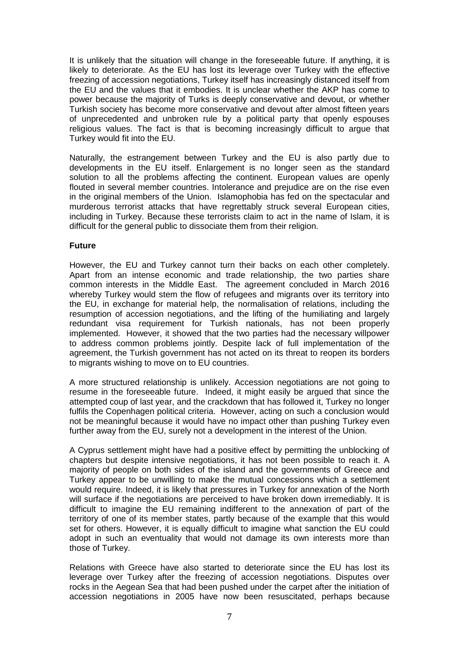It is unlikely that the situation will change in the foreseeable future. If anything, it is likely to deteriorate. As the EU has lost its leverage over Turkey with the effective freezing of accession negotiations, Turkey itself has increasingly distanced itself from the EU and the values that it embodies. It is unclear whether the AKP has come to power because the majority of Turks is deeply conservative and devout, or whether Turkish society has become more conservative and devout after almost fifteen years of unprecedented and unbroken rule by a political party that openly espouses religious values. The fact is that is becoming increasingly difficult to argue that Turkey would fit into the EU.

Naturally, the estrangement between Turkey and the EU is also partly due to developments in the EU itself. Enlargement is no longer seen as the standard solution to all the problems affecting the continent. European values are openly flouted in several member countries. Intolerance and prejudice are on the rise even in the original members of the Union. Islamophobia has fed on the spectacular and murderous terrorist attacks that have regrettably struck several European cities, including in Turkey. Because these terrorists claim to act in the name of Islam, it is difficult for the general public to dissociate them from their religion.

## **Future**

However, the EU and Turkey cannot turn their backs on each other completely. Apart from an intense economic and trade relationship, the two parties share common interests in the Middle East. The agreement concluded in March 2016 whereby Turkey would stem the flow of refugees and migrants over its territory into the EU, in exchange for material help, the normalisation of relations, including the resumption of accession negotiations, and the lifting of the humiliating and largely redundant visa requirement for Turkish nationals, has not been properly implemented. However, it showed that the two parties had the necessary willpower to address common problems jointly. Despite lack of full implementation of the agreement, the Turkish government has not acted on its threat to reopen its borders to migrants wishing to move on to EU countries.

A more structured relationship is unlikely. Accession negotiations are not going to resume in the foreseeable future. Indeed, it might easily be argued that since the attempted coup of last year, and the crackdown that has followed it, Turkey no longer fulfils the Copenhagen political criteria. However, acting on such a conclusion would not be meaningful because it would have no impact other than pushing Turkey even further away from the EU, surely not a development in the interest of the Union.

A Cyprus settlement might have had a positive effect by permitting the unblocking of chapters but despite intensive negotiations, it has not been possible to reach it. A majority of people on both sides of the island and the governments of Greece and Turkey appear to be unwilling to make the mutual concessions which a settlement would require. Indeed, it is likely that pressures in Turkey for annexation of the North will surface if the negotiations are perceived to have broken down irremediably. It is difficult to imagine the EU remaining indifferent to the annexation of part of the territory of one of its member states, partly because of the example that this would set for others. However, it is equally difficult to imagine what sanction the EU could adopt in such an eventuality that would not damage its own interests more than those of Turkey.

Relations with Greece have also started to deteriorate since the EU has lost its leverage over Turkey after the freezing of accession negotiations. Disputes over rocks in the Aegean Sea that had been pushed under the carpet after the initiation of accession negotiations in 2005 have now been resuscitated, perhaps because